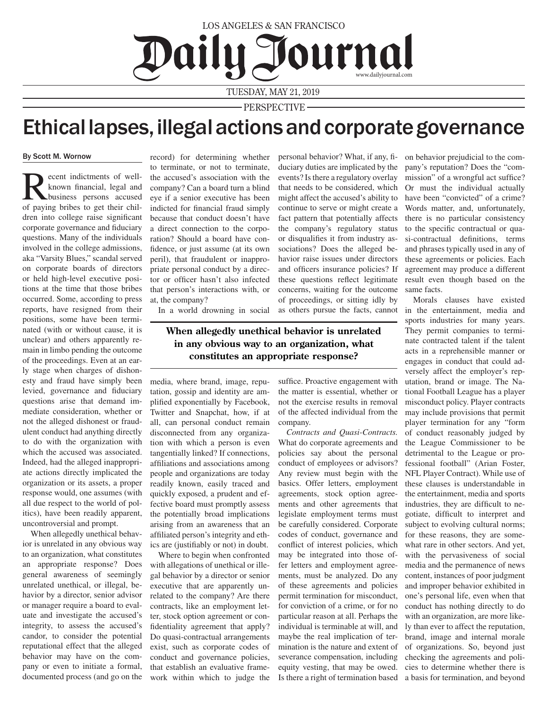## LOS ANGELES & SAN FRANCISCO Daily Journal www.dailyjournal.com

TUESDAY, MAY 21, 2019

PERSPECTIVE

## Ethical lapses, illegal actions and corporate governance

## By Scott M. Wornow

Recent indictments of well-<br>known financial, legal and<br>of poving bribes to get their chil known financial, legal and of paying bribes to get their children into college raise significant corporate governance and fiduciary questions. Many of the individuals involved in the college admissions, aka "Varsity Blues," scandal served on corporate boards of directors or held high-level executive positions at the time that those bribes occurred. Some, according to press reports, have resigned from their positions, some have been terminated (with or without cause, it is unclear) and others apparently remain in limbo pending the outcome of the proceedings. Even at an early stage when charges of dishonesty and fraud have simply been levied, governance and fiduciary questions arise that demand immediate consideration, whether or not the alleged dishonest or fraudulent conduct had anything directly to do with the organization with which the accused was associated. Indeed, had the alleged inappropriate actions directly implicated the organization or its assets, a proper response would, one assumes (with all due respect to the world of politics), have been readily apparent, uncontroversial and prompt.

When allegedly unethical behavior is unrelated in any obvious way to an organization, what constitutes an appropriate response? Does general awareness of seemingly unrelated unethical, or illegal, behavior by a director, senior advisor or manager require a board to evaluate and investigate the accused's integrity, to assess the accused's candor, to consider the potential reputational effect that the alleged behavior may have on the company or even to initiate a formal, documented process (and go on the

record) for determining whether to terminate, or not to terminate, the accused's association with the company? Can a board turn a blind eye if a senior executive has been indicted for financial fraud simply because that conduct doesn't have a direct connection to the corporation? Should a board have confidence, or just assume (at its own peril), that fraudulent or inappropriate personal conduct by a director or officer hasn't also infected that person's interactions with, or at, the company?

personal behavior? What, if any, fiduciary duties are implicated by the events? Is there a regulatory overlay that needs to be considered, which might affect the accused's ability to continue to serve or might create a fact pattern that potentially affects the company's regulatory status or disqualifies it from industry associations? Does the alleged behavior raise issues under directors and officers insurance policies? If these questions reflect legitimate concerns, waiting for the outcome of proceedings, or sitting idly by as others pursue the facts, cannot

In a world drowning in social

**When allegedly unethical behavior is unrelated in any obvious way to an organization, what constitutes an appropriate response?**

media, where brand, image, reputation, gossip and identity are amplified exponentially by Facebook, Twitter and Snapchat, how, if at all, can personal conduct remain disconnected from any organization with which a person is even tangentially linked? If connections, affiliations and associations among people and organizations are today readily known, easily traced and quickly exposed, a prudent and effective board must promptly assess the potentially broad implications arising from an awareness that an affiliated person's integrity and ethics are (justifiably or not) in doubt.

Where to begin when confronted with allegations of unethical or illegal behavior by a director or senior executive that are apparently unrelated to the company? Are there contracts, like an employment letter, stock option agreement or confidentiality agreement that apply? Do quasi-contractual arrangements exist, such as corporate codes of conduct and governance policies, that establish an evaluative framework within which to judge the

suffice. Proactive engagement with the matter is essential, whether or not the exercise results in removal of the affected individual from the company.

*Contracts and Quasi-Contracts.*  What do corporate agreements and policies say about the personal conduct of employees or advisors? Any review must begin with the basics. Offer letters, employment agreements, stock option agreements and other agreements that legislate employment terms must be carefully considered. Corporate codes of conduct, governance and conflict of interest policies, which may be integrated into those offer letters and employment agreements, must be analyzed. Do any of these agreements and policies permit termination for misconduct, for conviction of a crime, or for no particular reason at all. Perhaps the individual is terminable at will, and maybe the real implication of termination is the nature and extent of severance compensation, including equity vesting, that may be owed. Is there a right of termination based a basis for termination, and beyond

on behavior prejudicial to the company's reputation? Does the "commission" of a wrongful act suffice? Or must the individual actually have been "convicted" of a crime? Words matter, and, unfortunately, there is no particular consistency to the specific contractual or quasi-contractual definitions, terms and phrases typically used in any of these agreements or policies. Each agreement may produce a different result even though based on the same facts.

Morals clauses have existed in the entertainment, media and sports industries for many years. They permit companies to terminate contracted talent if the talent acts in a reprehensible manner or engages in conduct that could adversely affect the employer's reputation, brand or image. The National Football League has a player misconduct policy. Player contracts may include provisions that permit player termination for any "form of conduct reasonably judged by the League Commissioner to be detrimental to the League or professional football" (Arian Foster, NFL Player Contract). While use of these clauses is understandable in the entertainment, media and sports industries, they are difficult to negotiate, difficult to interpret and subject to evolving cultural norms; for these reasons, they are somewhat rare in other sectors. And yet, with the pervasiveness of social media and the permanence of news content, instances of poor judgment and improper behavior exhibited in one's personal life, even when that conduct has nothing directly to do with an organization, are more likely than ever to affect the reputation, brand, image and internal morale of organizations. So, beyond just checking the agreements and policies to determine whether there is